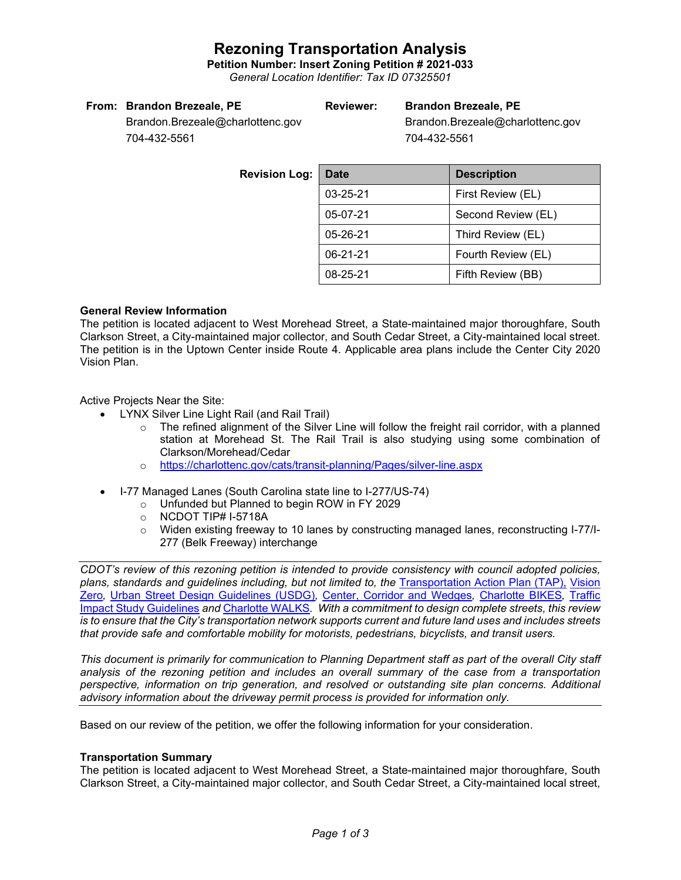## **Rezoning Transportation Analysis**

**Petition Number: Insert Zoning Petition # 2021-033** *General Location Identifier: Tax ID 07325501*

#### **From: Brandon Brezeale, PE**

### **Reviewer: Brandon Brezeale, PE**

Brandon.Brezeale@charlottenc.gov 704-432-5561

Brandon.Brezeale@charlottenc.gov 704-432-5561

**Revision** L

| :0g. | <b>Date</b>    | <b>Description</b> |  |  |
|------|----------------|--------------------|--|--|
|      | 03-25-21       | First Review (EL)  |  |  |
|      | 05-07-21       | Second Review (EL) |  |  |
|      | $05 - 26 - 21$ | Third Review (EL)  |  |  |
|      | $06 - 21 - 21$ | Fourth Review (EL) |  |  |
|      | 08-25-21       | Fifth Review (BB)  |  |  |

#### **General Review Information**

The petition is located adjacent to West Morehead Street, a State-maintained major thoroughfare, South Clarkson Street, a City-maintained major collector, and South Cedar Street, a City-maintained local street. The petition is in the Uptown Center inside Route 4. Applicable area plans include the Center City 2020 Vision Plan.

Active Projects Near the Site:

- LYNX Silver Line Light Rail (and Rail Trail)
	- $\circ$  The refined alignment of the Silver Line will follow the freight rail corridor, with a planned station at Morehead St. The Rail Trail is also studying using some combination of Clarkson/Morehead/Cedar
	- o <https://charlottenc.gov/cats/transit-planning/Pages/silver-line.aspx>
- I-77 Managed Lanes (South Carolina state line to I-277/US-74)
	- o Unfunded but Planned to begin ROW in FY 2029
	- o NCDOT TIP# I-5718A
	- o Widen existing freeway to 10 lanes by constructing managed lanes, reconstructing I-77/I-277 (Belk Freeway) interchange

*CDOT's review of this rezoning petition is intended to provide consistency with council adopted policies, plans, standards and guidelines including, but not limited to, the* [Transportation Action Plan \(TAP\),](https://charlottenc.gov/Transportation/Programs/Pages/TransportationActionPlan.aspx) [Vision](https://charlottenc.gov/VisionZero/Pages/VisionZero.aspx)  [Zero](https://charlottenc.gov/VisionZero/Pages/VisionZero.aspx)*,* [Urban Street Design Guidelines \(USDG\)](https://charlottenc.gov/Transportation/PlansProjects/Documents/USDG%20Full%20Document.pdf)*,* [Center, Corridor and Wedges](http://ww.charmeck.org/Planning/Land%20Use%20Planning/CentersCorridorsWedges/CentersCorridorsWedges(Adopted).pdf)*,* [Charlotte BIKES](https://charlottenc.gov/Transportation/Programs/Pages/Bicycle.aspx)*,* [Traffic](https://charlottenc.gov/Transportation/Permits/Documents/TISProcessandGuildlines.pdf)  [Impact Study Guidelines](https://charlottenc.gov/Transportation/Permits/Documents/TISProcessandGuildlines.pdf) *and* [Charlotte WALKS](https://charlottenc.gov/Transportation/Programs/Pages/CharlotteWalks.aspx)*. With a commitment to design complete streets, this review is to ensure that the City's transportation network supports current and future land uses and includes streets that provide safe and comfortable mobility for motorists, pedestrians, bicyclists, and transit users.*

*This document is primarily for communication to Planning Department staff as part of the overall City staff analysis of the rezoning petition and includes an overall summary of the case from a transportation perspective, information on trip generation, and resolved or outstanding site plan concerns. Additional advisory information about the driveway permit process is provided for information only.*

Based on our review of the petition, we offer the following information for your consideration.

#### **Transportation Summary**

The petition is located adjacent to West Morehead Street, a State-maintained major thoroughfare, South Clarkson Street, a City-maintained major collector, and South Cedar Street, a City-maintained local street,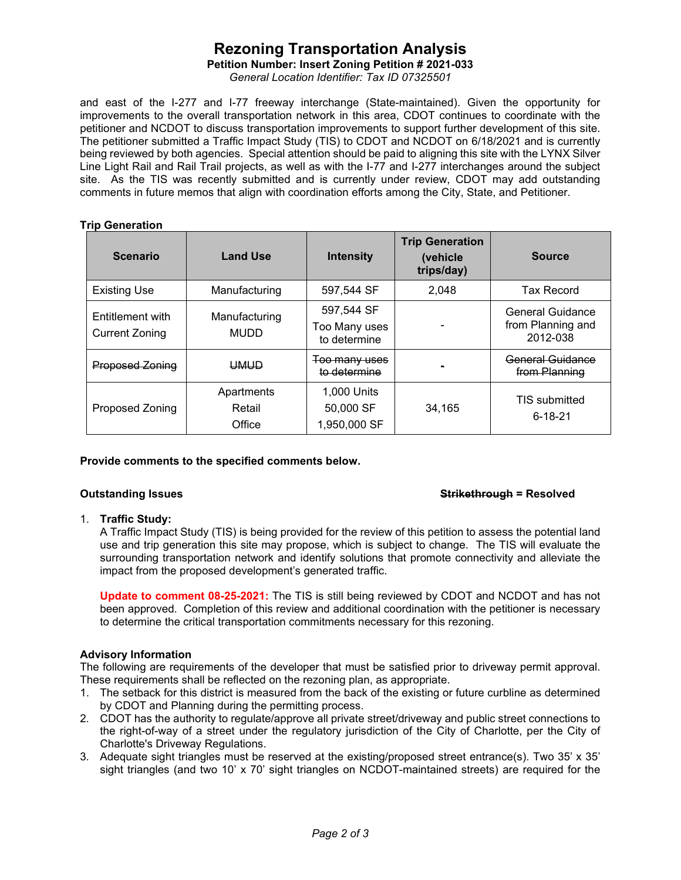# **Rezoning Transportation Analysis**

**Petition Number: Insert Zoning Petition # 2021-033**

*General Location Identifier: Tax ID 07325501*

and east of the I-277 and I-77 freeway interchange (State-maintained). Given the opportunity for improvements to the overall transportation network in this area, CDOT continues to coordinate with the petitioner and NCDOT to discuss transportation improvements to support further development of this site. The petitioner submitted a Traffic Impact Study (TIS) to CDOT and NCDOT on 6/18/2021 and is currently being reviewed by both agencies. Special attention should be paid to aligning this site with the LYNX Silver Line Light Rail and Rail Trail projects, as well as with the I-77 and I-277 interchanges around the subject site. As the TIS was recently submitted and is currently under review, CDOT may add outstanding comments in future memos that align with coordination efforts among the City, State, and Petitioner.

### **Trip Generation**

| <b>Scenario</b>                           | <b>Land Use</b>                | <b>Intensity</b>                            | <b>Trip Generation</b><br>(vehicle<br>trips/day) | <b>Source</b>                                            |
|-------------------------------------------|--------------------------------|---------------------------------------------|--------------------------------------------------|----------------------------------------------------------|
| <b>Existing Use</b>                       | Manufacturing                  | 597,544 SF                                  | 2.048                                            | <b>Tax Record</b>                                        |
| Entitlement with<br><b>Current Zoning</b> | Manufacturing<br><b>MUDD</b>   | 597,544 SF<br>Too Many uses<br>to determine |                                                  | <b>General Guidance</b><br>from Planning and<br>2012-038 |
| <b>Proposed Zoning</b>                    | <b>UMUD</b>                    | Too many uses<br>to determine               |                                                  | General Guidance<br>from Planning                        |
| <b>Proposed Zoning</b>                    | Apartments<br>Retail<br>Office | 1,000 Units<br>50,000 SF<br>1,950,000 SF    | 34.165                                           | <b>TIS submitted</b><br>$6 - 18 - 21$                    |

### **Provide comments to the specified comments below.**

#### **Outstanding Issues Strikethrough = Resolved**

### 1. **Traffic Study:**

A Traffic Impact Study (TIS) is being provided for the review of this petition to assess the potential land use and trip generation this site may propose, which is subject to change. The TIS will evaluate the surrounding transportation network and identify solutions that promote connectivity and alleviate the impact from the proposed development's generated traffic.

**Update to comment 08-25-2021:** The TIS is still being reviewed by CDOT and NCDOT and has not been approved. Completion of this review and additional coordination with the petitioner is necessary to determine the critical transportation commitments necessary for this rezoning.

### **Advisory Information**

The following are requirements of the developer that must be satisfied prior to driveway permit approval. These requirements shall be reflected on the rezoning plan, as appropriate.

- 1. The setback for this district is measured from the back of the existing or future curbline as determined by CDOT and Planning during the permitting process.
- 2. CDOT has the authority to regulate/approve all private street/driveway and public street connections to the right-of-way of a street under the regulatory jurisdiction of the City of Charlotte, per the City of Charlotte's Driveway Regulations.
- 3. Adequate sight triangles must be reserved at the existing/proposed street entrance(s). Two 35' x 35' sight triangles (and two 10' x 70' sight triangles on NCDOT-maintained streets) are required for the